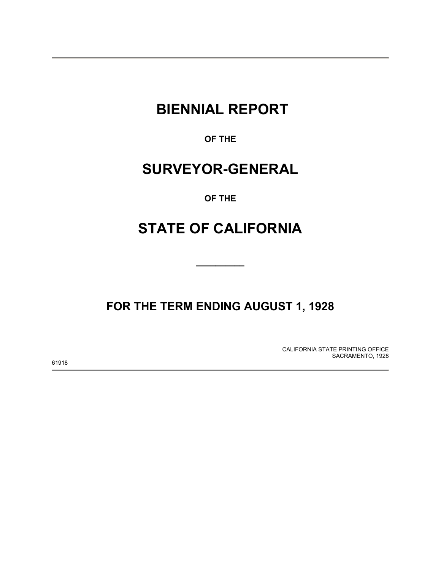# **BIENNIAL REPORT**

**OF THE** 

# **SURVEYOR-GENERAL**

**OF THE** 

# **STATE OF CALIFORNIA**

**\_\_\_\_\_\_\_\_\_\_** 

**FOR THE TERM ENDING AUGUST 1, 1928** 

CALIFORNIA STATE PRINTING OFFICE SACRAMENTO, 1928

61918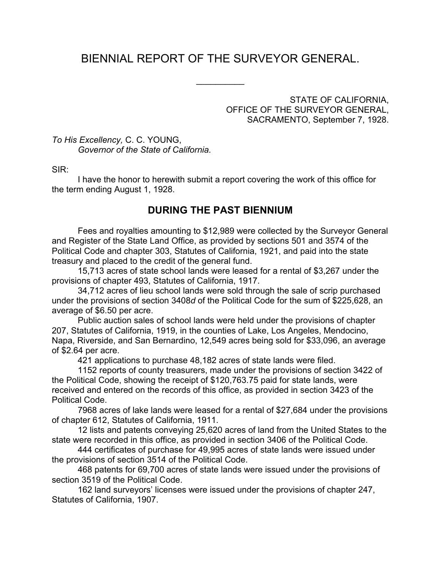# BIENNIAL REPORT OF THE SURVEYOR GENERAL.

 $\frac{1}{2}$ 

STATE OF CALIFORNIA, OFFICE OF THE SURVEYOR GENERAL, SACRAMENTO, September 7, 1928.

*To His Excellency,* C. C. YOUNG, *Governor of the State of California.*

SIR:

 I have the honor to herewith submit a report covering the work of this office for the term ending August 1, 1928.

# **DURING THE PAST BIENNIUM**

 Fees and royalties amounting to \$12,989 were collected by the Surveyor General and Register of the State Land Office, as provided by sections 501 and 3574 of the Political Code and chapter 303, Statutes of California, 1921, and paid into the state treasury and placed to the credit of the general fund.

 15,713 acres of state school lands were leased for a rental of \$3,267 under the provisions of chapter 493, Statutes of California, 1917.

 34,712 acres of lieu school lands were sold through the sale of scrip purchased under the provisions of section 3408*d* of the Political Code for the sum of \$225,628, an average of \$6.50 per acre.

 Public auction sales of school lands were held under the provisions of chapter 207, Statutes of California, 1919, in the counties of Lake, Los Angeles, Mendocino, Napa, Riverside, and San Bernardino, 12,549 acres being sold for \$33,096, an average of \$2.64 per acre.

421 applications to purchase 48,182 acres of state lands were filed.

 1152 reports of county treasurers, made under the provisions of section 3422 of the Political Code, showing the receipt of \$120,763.75 paid for state lands, were received and entered on the records of this office, as provided in section 3423 of the Political Code.

 7968 acres of lake lands were leased for a rental of \$27,684 under the provisions of chapter 612, Statutes of California, 1911.

 12 lists and patents conveying 25,620 acres of land from the United States to the state were recorded in this office, as provided in section 3406 of the Political Code.

 444 certificates of purchase for 49,995 acres of state lands were issued under the provisions of section 3514 of the Political Code.

 468 patents for 69,700 acres of state lands were issued under the provisions of section 3519 of the Political Code.

 162 land surveyors' licenses were issued under the provisions of chapter 247, Statutes of California, 1907.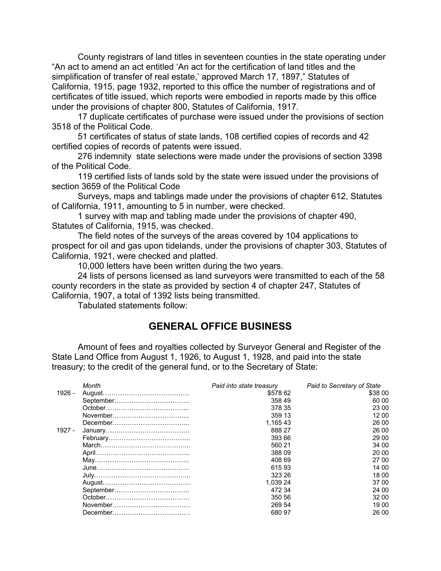County registrars of land titles in seventeen counties in the state operating under "An act to amend an act entitled 'An act for the certification of land titles and the simplification of transfer of real estate,' approved March 17, 1897," Statutes of California, 1915, page 1932, reported to this office the number of registrations and of certificates of title issued, which reports were embodied in reports made by this office under the provisions of chapter 800, Statutes of California, 1917.

 17 duplicate certificates of purchase were issued under the provisions of section 3518 of the Political Code.

 51 certificates of status of state lands, 108 certified copies of records and 42 certified copies of records of patents were issued.

 276 indemnity state selections were made under the provisions of section 3398 of the Political Code.

 119 certified lists of lands sold by the state were issued under the provisions of section 3659 of the Political Code

 Surveys, maps and tablings made under the provisions of chapter 612, Statutes of California, 1911, amounting to 5 in number, were checked.

 1 survey with map and tabling made under the provisions of chapter 490, Statutes of California, 1915, was checked.

 The field notes of the surveys of the areas covered by 104 applications to prospect for oil and gas upon tidelands, under the provisions of chapter 303, Statutes of California, 1921, were checked and platted.

10,000 letters have been written during the two years.

 24 lists of persons licensed as land surveyors were transmitted to each of the 58 county recorders in the state as provided by section 4 of chapter 247, Statutes of California, 1907, a total of 1392 lists being transmitted.

Tabulated statements follow:

# **GENERAL OFFICE BUSINESS**

 Amount of fees and royalties collected by Surveyor General and Register of the State Land Office from August 1, 1926, to August 1, 1928, and paid into the state treasury; to the credit of the general fund, or to the Secretary of State:

|          | Month | Paid into state treasury | Paid to Secretary of State |
|----------|-------|--------------------------|----------------------------|
| 1926 -   |       | \$578 62                 | \$38 00                    |
|          |       | 358 49                   | 60 00                      |
|          |       | 378 35                   | 23 00                      |
|          |       | 359 13                   | 12 00                      |
|          |       | 1.16543                  | 26 00                      |
| $1927 -$ |       | 888 27                   | 26 00                      |
|          |       | 393 66                   | 29 00                      |
|          |       | 560 21                   | 34.00                      |
|          |       | 388 09                   | 20 00                      |
|          |       | 408.69                   | 27 00                      |
|          |       | 61593                    | 14 00                      |
|          |       | 323 26                   | 18 00                      |
|          |       | 1.039 24                 | 37.00                      |
|          |       | 472 34                   | 24 00                      |
|          |       | 350 56                   | 32 00                      |
|          |       | 269 54                   | 19 00                      |
|          |       | 680 97                   | 26 00                      |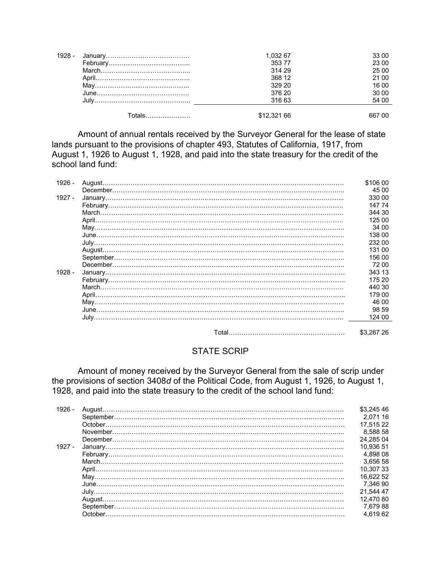| 1928 - |                | 1,032 67    | 33 00  |
|--------|----------------|-------------|--------|
|        |                | 35377       | 23 00  |
|        |                | 314 29      | 25 00  |
|        |                | 368 12      | 21 00  |
|        |                | 329 20      | 16 00  |
|        |                | 376 20      | 30 00  |
|        |                | 316 63      | 54 00  |
|        | . otals………………… | \$12,321 66 | 667 00 |

 Amount of annual rentals received by the Surveyor General for the lease of state lands pursuant to the provisions of chapter 493, Statutes of California, 1917, from August 1, 1926 to August 1, 1928, and paid into the state treasury for the credit of the school land fund:

| $1926 -$ | \$106 00   |
|----------|------------|
|          | 45 00      |
| $1927 -$ | 330 00     |
|          | 147 74     |
|          | 344 30     |
|          | 125 00     |
|          | 34 00      |
|          | 138 00     |
|          | 232 00     |
|          | 131 00     |
|          | 156 00     |
|          | 72 00      |
| 1928 -   | 343 13     |
|          | 175 20     |
|          | 440 30     |
|          | 179 00     |
|          | 46 00      |
|          | 98 59      |
|          | 124 00     |
|          |            |
|          | \$3,267 26 |

#### STATE SCRIP

 Amount of money received by the Surveyor General from the sale of scrip under the provisions of section 3408*d* of the Political Code, from August 1, 1926, to August 1, 1928, and paid into the state treasury to the credit of the school land fund:

| $1926 -$ | \$3.245.46 |
|----------|------------|
|          | 2.071.16   |
|          | 17.515 22  |
|          | 8.588 58   |
|          | 24.285 04  |
| $1927 -$ | 10.936 51  |
|          | 4.898 08   |
|          | 3.656 58   |
|          | 10.30733   |
|          | 16.622 52  |
|          | 7.346 90   |
|          | 21.544 47  |
|          | 12.470 80  |
|          | 7.67988    |
|          | 4.619 62   |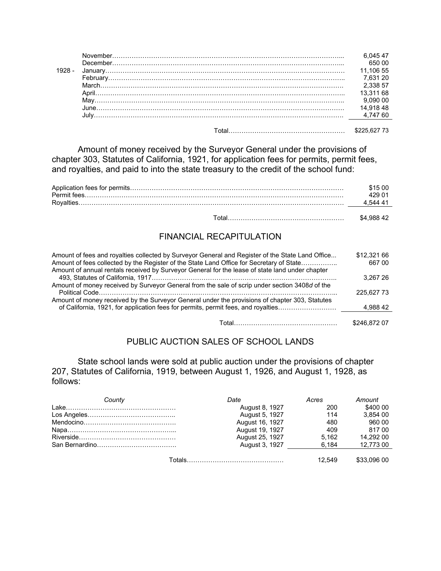|  | 11.106.55 |
|--|-----------|
|  | 7.631 20  |
|  | 2 338 57  |
|  | 13 311 68 |
|  |           |
|  |           |
|  |           |
|  |           |

Total……………………………………………… \$225,627 73

 Amount of money received by the Surveyor General under the provisions of chapter 303, Statutes of California, 1921, for application fees for permits, permit fees, and royalties, and paid to into the state treasury to the credit of the school fund:

| 615 OO  |
|---------|
| 429 N   |
| 1 544 A |
|         |

#### Total……………………………………………… \$4,988 42

# FINANCIAL RECAPITULATION

| Amount of fees and royalties collected by Surveyor General and Register of the State Land Office<br>Amount of fees collected by the Register of the State Land Office for Secretary of State<br>Amount of annual rentals received by Surveyor General for the lease of state land under chapter | \$12,321 66<br>667 00 |
|-------------------------------------------------------------------------------------------------------------------------------------------------------------------------------------------------------------------------------------------------------------------------------------------------|-----------------------|
|                                                                                                                                                                                                                                                                                                 | 3.267 26              |
| Amount of money received by Surveyor General from the sale of scrip under section 3408d of the                                                                                                                                                                                                  |                       |
|                                                                                                                                                                                                                                                                                                 | 225.627 73            |
| Amount of money received by the Surveyor General under the provisions of chapter 303, Statutes                                                                                                                                                                                                  |                       |
| of California, 1921, for application fees for permits, permit fees, and royalties                                                                                                                                                                                                               | 4.988 42              |
|                                                                                                                                                                                                                                                                                                 |                       |
|                                                                                                                                                                                                                                                                                                 | \$246.872 07          |

### PUBLIC AUCTION SALES OF SCHOOL LANDS

 State school lands were sold at public auction under the provisions of chapter 207, Statutes of California, 1919, between August 1, 1926, and August 1, 1928, as follows:

| County | Date            | Acres  | Amount      |
|--------|-----------------|--------|-------------|
|        | August 8, 1927  | 200    | \$400 00    |
|        | August 5, 1927  | 114    | 3.854 00    |
|        | August 16, 1927 | 480    | 960 00      |
|        | August 19, 1927 | 409    | 817.00      |
|        | August 25, 1927 | 5.162  | 14.292 00   |
|        | August 3, 1927  | 6.184  | 12.773 00   |
|        |                 |        |             |
|        |                 | 12.549 | \$33,096 00 |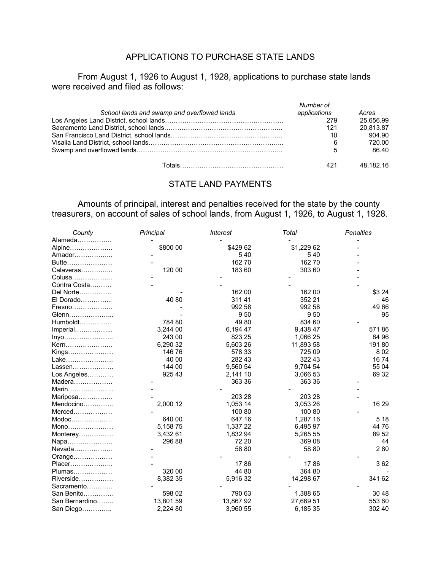# APPLICATIONS TO PURCHASE STATE LANDS

From August 1, 1926 to August 1, 1928, applications to purchase state lands were received and filed as follows:

|                                             | Number of    |           |
|---------------------------------------------|--------------|-----------|
| School lands and swamp and overflowed lands | applications | Acres     |
|                                             | 279          | 25.656.99 |
|                                             | 121          | 20.813.87 |
|                                             | 10           | 904.90    |
|                                             | 6            | 720.00    |
|                                             | 5            | 86.40     |
| Totals……………………………………………                     | 421          | 48.182.16 |

#### STATE LAND PAYMENTS

 Amounts of principal, interest and penalties received for the state by the county treasurers, on account of sales of school lands, from August 1, 1926, to August 1, 1928.

| County         | Principal | <b>Interest</b> | Total      | <b>Penalties</b> |
|----------------|-----------|-----------------|------------|------------------|
| Alameda        |           |                 |            |                  |
| Alpine         | \$800 00  | \$429 62        | \$1,229 62 |                  |
| Amador         |           | 540             | 540        |                  |
| Butte          |           | 16270           | 16270      |                  |
| Calaveras      | 120 00    | 183 60          | 303 60     |                  |
| Colusa         |           |                 |            |                  |
| Contra Costa   |           |                 |            |                  |
| Del Norte      |           | 162 00          | 162 00     | \$3 24           |
| El Dorado      | 40 80     | 31141           | 352 21     | 46               |
| Fresno         |           | 992 58          | 992 58     | 49 66            |
| Glenn          |           | 950             | 950        | 95               |
| Humboldt       | 784 80    | 4980            | 834 60     |                  |
| Imperial       | 3,244 00  | 6,194 47        | 9,438 47   | 57186            |
| Inyo           | 243 00    | 823 25          | 1,066 25   | 84 96            |
| Kern           | 6,290 32  | 5,603 26        | 11,893 58  | 19180            |
| Kings          | 146 76    | 578 33          | 725 09     | 802              |
| Lake           | 40 00     | 282 43          | 322 43     | 1674             |
| Lassen         | 144 00    | 9,560 54        | 9,704 54   | 55 04            |
| Los Angeles    | 925 43    | 2,141 10        | 3,066 53   | 69 32            |
| Madera         |           | 363 36          | 363 36     |                  |
| Marin          |           |                 |            |                  |
| Mariposa       |           | 203 28          | 203 28     |                  |
| Mendocino      | 2,000 12  | 1,053 14        | 3,053 26   | 16 29            |
| Merced         |           | 100 80          | 100 80     |                  |
| Modoc          | 640 00    | 647 16          | 1,287 16   | 5 18             |
| Mono           | 5,15875   | 1,337 22        | 6,495 97   | 4476             |
| Monterey       | 3,432 61  | 1,832 94        | 5,265 55   | 89 52            |
| Napa           | 296 88    | 72 20           | 369 08     | 44               |
| Nevada         |           | 58 80           | 58 80      | 280              |
| Orange         |           |                 |            |                  |
| Placer         |           | 1786            | 1786       | 362              |
| Plumas         | 320 00    | 44 80           | 364 80     |                  |
| Riverside      | 8,382 35  | 5,916 32        | 14,298 67  | 341 62           |
| Sacramento     |           |                 |            |                  |
| San Benito     | 598 02    | 790 63          | 1,388 65   | 30 48            |
| San Bernardino | 13,801 59 | 13,86792        | 27,669 51  | 553 60           |
| San Diego      | 2,224 80  | 3,960 55        | 6,185 35   | 302 40           |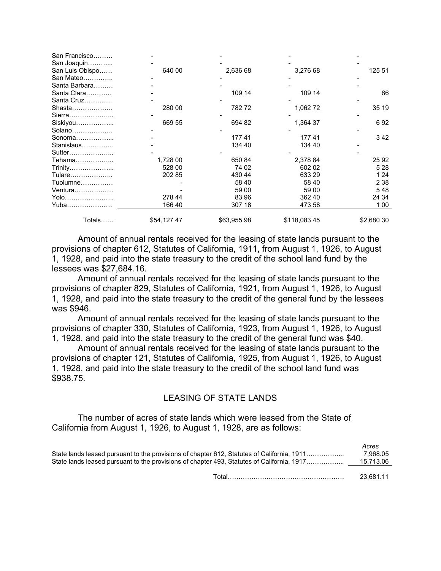| Totals          | \$54,12747 | \$63,955 98 | \$118,08345 | \$2,680 30 |
|-----------------|------------|-------------|-------------|------------|
| Yuba…………………     | 166 40     | 307 18      | 473 58      | 1 0 0      |
| Yolo            | 278 44     | 83 96       | 362 40      | 24 34      |
| Ventura         |            | 59 00       | 59 00       | 548        |
| Tuolumne        |            | 58 40       | 58 40       | 2 3 8      |
| Tulare          | 202 85     | 430 44      | 633 29      | 1 24       |
| Trinity         | 528 00     | 74 02       | 602 02      | 5 2 8      |
| Tehama          | 1,728 00   | 650 84      | 2,378 84    | 25 92      |
| Sutter          |            |             |             |            |
| Stanislaus      |            | 134 40      | 134 40      |            |
| Sonoma          |            | 17741       | 17741       | 342        |
| Solano          |            |             |             |            |
| Siskiyou        | 669 55     | 694 82      | 1,364 37    | 692        |
| Sierra          |            |             |             |            |
| Shasta          | 280 00     | 78272       | 1,062 72    | 35 19      |
| Santa Cruz      |            |             |             |            |
| Santa Clara     |            | 109 14      | 109 14      | 86         |
| Santa Barbara   |            |             |             |            |
| San Mateo       |            |             |             |            |
| San Luis Obispo | 640 00     | 2,636 68    | 3,276 68    | 125 51     |
| San Joaquin     |            |             |             |            |
| San Francisco   |            |             |             |            |

 Amount of annual rentals received for the leasing of state lands pursuant to the provisions of chapter 612, Statutes of California, 1911, from August 1, 1926, to August 1, 1928, and paid into the state treasury to the credit of the school land fund by the lessees was \$27,684.16.

 Amount of annual rentals received for the leasing of state lands pursuant to the provisions of chapter 829, Statutes of California, 1921, from August 1, 1926, to August 1, 1928, and paid into the state treasury to the credit of the general fund by the lessees was \$946.

 Amount of annual rentals received for the leasing of state lands pursuant to the provisions of chapter 330, Statutes of California, 1923, from August 1, 1926, to August 1, 1928, and paid into the state treasury to the credit of the general fund was \$40.

 Amount of annual rentals received for the leasing of state lands pursuant to the provisions of chapter 121, Statutes of California, 1925, from August 1, 1926, to August 1, 1928, and paid into the state treasury to the credit of the school land fund was \$938.75.

### LEASING OF STATE LANDS

 The number of acres of state lands which were leased from the State of California from August 1, 1926, to August 1, 1928, are as follows:

| State lands leased pursuant to the provisions of chapter 612, Statutes of California, 1911<br>State lands leased pursuant to the provisions of chapter 493, Statutes of California, 1917 | Acres<br>7.968.05<br>15.713.06 |
|------------------------------------------------------------------------------------------------------------------------------------------------------------------------------------------|--------------------------------|
|                                                                                                                                                                                          | 23.681.11                      |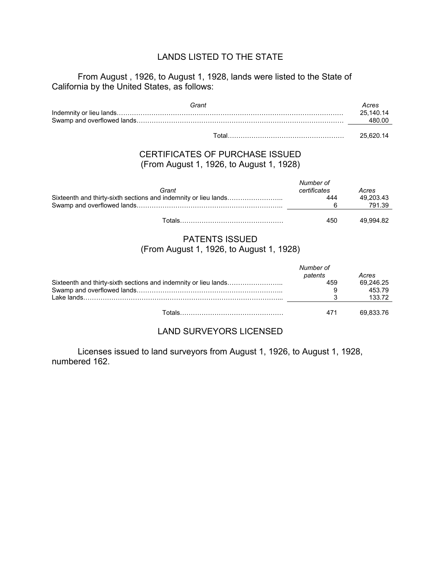## LANDS LISTED TO THE STATE

#### From August , 1926, to August 1, 1928, lands were listed to the State of California by the United States, as follows:

| Grant | Acres     |
|-------|-----------|
|       | 25.140.14 |
|       | 480.00    |
|       |           |

Total……………………………………………… 25,620.14

## CERTIFICATES OF PURCHASE ISSUED (From August 1, 1926, to August 1, 1928)

| Grant                                                           | Number of<br>certificates | Acres     |
|-----------------------------------------------------------------|---------------------------|-----------|
| Sixteenth and thirty-sixth sections and indemnity or lieu lands | 444                       | 49.203.43 |
|                                                                 |                           | 791.39    |
| ⊺∩tals                                                          | 450                       | 49.994.82 |

#### PATENTS ISSUED (From August 1, 1926, to August 1, 1928)

|         | Number of |           |
|---------|-----------|-----------|
|         | patents   | Acres     |
|         | 459       | 69.246.25 |
|         |           | 453.79    |
|         |           | 133.72    |
|         |           |           |
| `ntale: | 471       | 69.833.76 |

### LAND SURVEYORS LICENSED

 Licenses issued to land surveyors from August 1, 1926, to August 1, 1928, numbered 162.